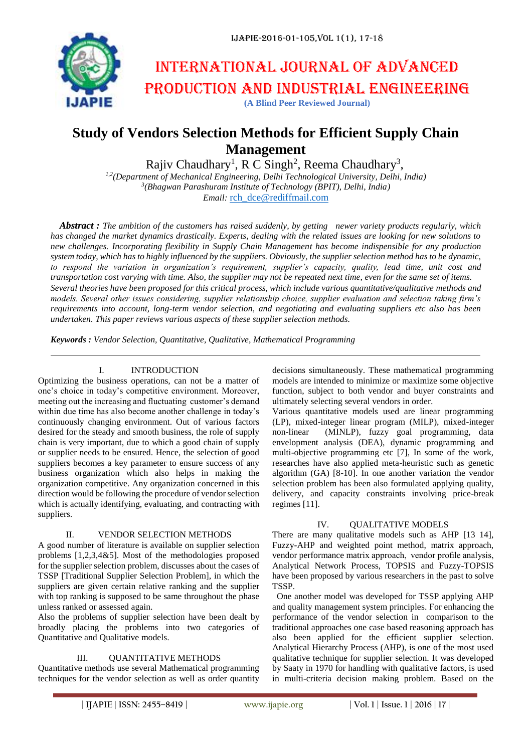# International journal of advanced production and industrial engineering

**(A Blind Peer Reviewed Journal)**

# **Study of Vendors Selection Methods for Efficient Supply Chain Management**

Rajiv Chaudhary<sup>1</sup>, R C Singh<sup>2</sup>, Reema Chaudhary<sup>3</sup>,

*1,2(Department of Mechanical Engineering, Delhi Technological University, Delhi, India) 3 (Bhagwan Parashuram Institute of Technology (BPIT), Delhi, India) Email:* [rch\\_dce@rediffmail.com](mailto:rch_dce@rediffmail.com)

*Abstract : The ambition of the customers has raised suddenly, by getting newer variety products regularly, which has changed the market dynamics drastically. Experts, dealing with the related issues are looking for new solutions to new challenges. Incorporating flexibility in Supply Chain Management has become indispensible for any production system today, which has to highly influenced by the suppliers. Obviously, the supplier selection method has to be dynamic, to respond the variation in organization's requirement, supplier's capacity, quality, lead time, unit cost and transportation cost varying with time. Also, the supplier may not be repeated next time, even for the same set of items. Several theories have been proposed for this critical process, which include various quantitative/qualitative methods and models. Several other issues considering, supplier relationship choice, supplier evaluation and selection taking firm's requirements into account, long-term vendor selection, and negotiating and evaluating suppliers etc also has been undertaken. This paper reviews various aspects of these supplier selection methods.*

*Keywords : Vendor Selection, Quantitative, Qualitative, Mathematical Programming*

# I. INTRODUCTION

Optimizing the business operations, can not be a matter of one's choice in today's competitive environment. Moreover, meeting out the increasing and fluctuating customer's demand within due time has also become another challenge in today's continuously changing environment. Out of various factors desired for the steady and smooth business, the role of supply chain is very important, due to which a good chain of supply or supplier needs to be ensured. Hence, the selection of good suppliers becomes a key parameter to ensure success of any business organization which also helps in making the organization competitive. Any organization concerned in this direction would be following the procedure of vendor selection which is actually identifying, evaluating, and contracting with suppliers.

# II. VENDOR SELECTION METHODS

A good number of literature is available on supplier selection problems [1,2,3,4&5]. Most of the methodologies proposed for the supplier selection problem, discusses about the cases of TSSP [Traditional Supplier Selection Problem], in which the suppliers are given certain relative ranking and the supplier with top ranking is supposed to be same throughout the phase unless ranked or assessed again.

Also the problems of supplier selection have been dealt by broadly placing the problems into two categories of Quantitative and Qualitative models.

# III. QUANTITATIVE METHODS

Quantitative methods use several Mathematical programming techniques for the vendor selection as well as order quantity

decisions simultaneously. These mathematical programming models are intended to minimize or maximize some objective function, subject to both vendor and buyer constraints and ultimately selecting several vendors in order.

Various quantitative models used are linear programming (LP), mixed-integer linear program (MILP), mixed-integer non-linear (MINLP), fuzzy goal programming, data envelopment analysis (DEA), dynamic programming and multi-objective programming etc [7], In some of the work, researches have also applied meta-heuristic such as genetic algorithm (GA) [8-10]. In one another variation the vendor selection problem has been also formulated applying quality, delivery, and capacity constraints involving price-break regimes [11].

# IV. OUALITATIVE MODELS

There are many qualitative models such as AHP [13 14], Fuzzy-AHP and weighted point method, matrix approach, vendor performance matrix approach, vendor profile analysis, Analytical Network Process, TOPSIS and Fuzzy-TOPSIS have been proposed by various researchers in the past to solve TSSP.

 One another model was developed for TSSP applying AHP and quality management system principles. For enhancing the performance of the vendor selection in comparison to the traditional approaches one case based reasoning approach has also been applied for the efficient supplier selection. Analytical Hierarchy Process (AHP), is one of the most used qualitative technique for supplier selection. It was developed by Saaty in 1970 for handling with qualitative factors, is used in multi-criteria decision making problem. Based on the